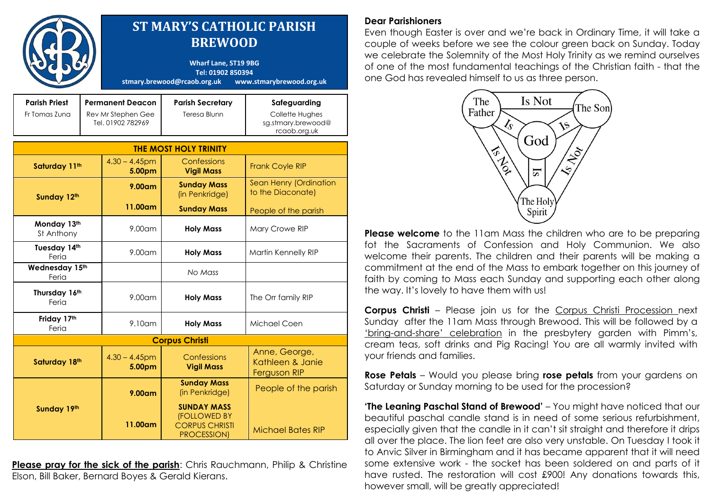|                                       |                                                                    | <b>ST MARY'S CATHOLIC PARISH</b><br><b>BREWOOD</b><br><b>Wharf Lane, ST19 9BG</b><br>Tel: 01902 850394<br>stmary.brewood@rcaob.org.uk<br>www.stmarybrewood.org.uk |                                                                                   |                                                                       |
|---------------------------------------|--------------------------------------------------------------------|-------------------------------------------------------------------------------------------------------------------------------------------------------------------|-----------------------------------------------------------------------------------|-----------------------------------------------------------------------|
| <b>Parish Priest</b><br>Fr Tomas Zuna | <b>Permanent Deacon</b><br>Rev Mr Stephen Gee<br>Tel. 01902 782969 |                                                                                                                                                                   | <b>Parish Secretary</b><br>Teresa Blunn                                           | Safeguarding<br>Collette Hughes<br>sg.stmary.brewood@<br>rcaob.org.uk |
| <b>THE MOST HOLY TRINITY</b>          |                                                                    |                                                                                                                                                                   |                                                                                   |                                                                       |
| Saturday 11th                         |                                                                    | $4.30 - 4.45$ pm<br>5.00pm                                                                                                                                        | Confessions<br><b>Vigil Mass</b>                                                  | <b>Frank Coyle RIP</b>                                                |
| Sunday 12th                           |                                                                    | $9.00$ am                                                                                                                                                         | <b>Sunday Mass</b><br>(in Penkridge)                                              | Sean Henry (Ordination<br>to the Diaconate)                           |
|                                       |                                                                    | 11.00am                                                                                                                                                           | <b>Sunday Mass</b>                                                                | People of the parish                                                  |
| Monday 13th<br>St Anthony             |                                                                    | 9.00am                                                                                                                                                            | <b>Holy Mass</b>                                                                  | Mary Crowe RIP                                                        |
| Tuesday 14th<br>Feria                 |                                                                    | $9.00$ am                                                                                                                                                         | <b>Holy Mass</b>                                                                  | Martin Kennelly RIP                                                   |
| Wednesday 15th<br>Feria               |                                                                    |                                                                                                                                                                   | No Mass                                                                           |                                                                       |
| Thursday 16th<br>Feria                |                                                                    | $9.00$ am                                                                                                                                                         | <b>Holy Mass</b>                                                                  | The Orr family RIP                                                    |
| Friday 17th<br>Feria                  |                                                                    | $9.10$ am                                                                                                                                                         | <b>Holy Mass</b>                                                                  | Michael Coen                                                          |
| <b>Corpus Christi</b>                 |                                                                    |                                                                                                                                                                   |                                                                                   |                                                                       |
| Saturday 18th                         |                                                                    | $4.30 - 4.45$ pm<br>5.00pm                                                                                                                                        | Confessions<br><b>Vigil Mass</b>                                                  | Anne, George,<br>Kathleen & Janie<br><b>Ferguson RIP</b>              |
| Sunday 19th                           |                                                                    | 9.00 <sub>cm</sub>                                                                                                                                                | <b>Sunday Mass</b><br>(in Penkridge)                                              | People of the parish                                                  |
|                                       |                                                                    | 11.00am                                                                                                                                                           | <b>SUNDAY MASS</b><br><b>(FOLLOWED BY</b><br><b>CORPUS CHRISTI</b><br>PROCESSION) | <b>Michael Bates RIP</b>                                              |

**Please pray for the sick of the parish:** Chris Rauchmann, Philip & Christine Elson, Bill Baker, Bernard Boyes & Gerald Kierans.

## **Dear Parishioners**

Even though Easter is over and we"re back in Ordinary Time, it will take a couple of weeks before we see the colour green back on Sunday. Today we celebrate the Solemnity of the Most Holy Trinity as we remind ourselves of one of the most fundamental teachings of the Christian faith - that the one God has revealed himself to us as three person.



**Please welcome** to the 11am Mass the children who are to be preparing fot the Sacraments of Confession and Holy Communion. We also welcome their parents. The children and their parents will be making a commitment at the end of the Mass to embark together on this journey of faith by coming to Mass each Sunday and supporting each other along the way. It's lovely to have them with us!

**Corpus Christi** – Please join us for the Corpus Christi Procession next Sunday after the 11am Mass through Brewood. This will be followed by a "bring-and-share" celebration in the presbytery garden with Pimm"s, cream teas, soft drinks and Pig Racing! You are all warmly invited with your friends and families.

**Rose Petals** – Would you please bring **rose petals** from your gardens on Saturday or Sunday morning to be used for the procession?

**'The Leaning Paschal Stand of Brewood'** – You might have noticed that our beautiful paschal candle stand is in need of some serious refurbishment, especially given that the candle in it can"t sit straight and therefore it drips all over the place. The lion feet are also very unstable. On Tuesday I took it to Anvic Silver in Birmingham and it has became apparent that it will need some extensive work - the socket has been soldered on and parts of it have rusted. The restoration will cost £900! Any donations towards this, however small, will be greatly appreciated!